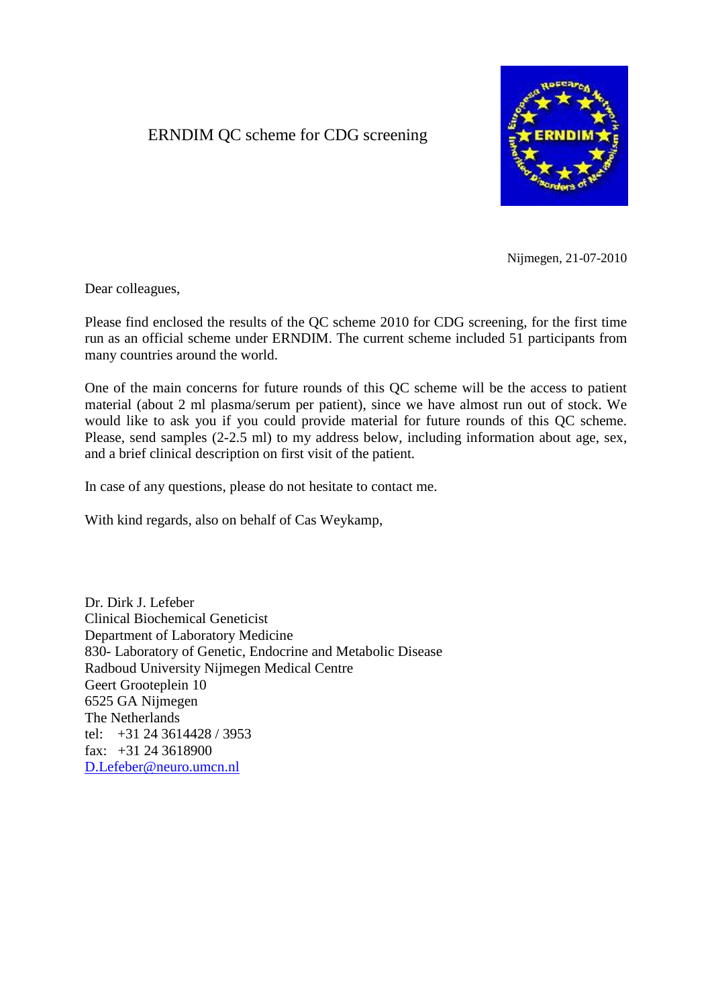# ERNDIM QC scheme for CDG screening



Nijmegen, 21-07-2010

Dear colleagues,

Please find enclosed the results of the QC scheme 2010 for CDG screening, for the first time run as an official scheme under ERNDIM. The current scheme included 51 participants from many countries around the world.

One of the main concerns for future rounds of this QC scheme will be the access to patient material (about 2 ml plasma/serum per patient), since we have almost run out of stock. We would like to ask you if you could provide material for future rounds of this QC scheme. Please, send samples (2-2.5 ml) to my address below, including information about age, sex, and a brief clinical description on first visit of the patient.

In case of any questions, please do not hesitate to contact me.

With kind regards, also on behalf of Cas Weykamp,

Dr. Dirk J. Lefeber Clinical Biochemical Geneticist Department of Laboratory Medicine 830- Laboratory of Genetic, Endocrine and Metabolic Disease Radboud University Nijmegen Medical Centre Geert Grooteplein 10 6525 GA Nijmegen The Netherlands tel: +31 24 3614428 / 3953 fax: +31 24 3618900 [D.Lefeber@neuro.umcn.nl](mailto:D.Lefeber@neuro.umcn.nl)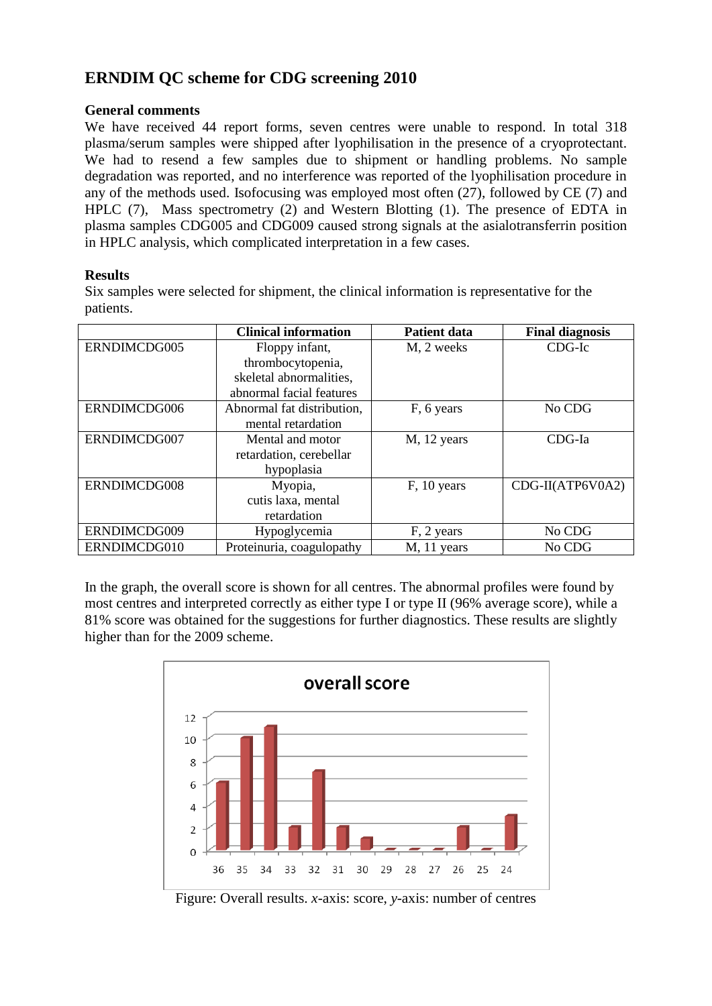# **ERNDIM QC scheme for CDG screening 2010**

### **General comments**

We have received 44 report forms, seven centres were unable to respond. In total 318 plasma/serum samples were shipped after lyophilisation in the presence of a cryoprotectant. We had to resend a few samples due to shipment or handling problems. No sample degradation was reported, and no interference was reported of the lyophilisation procedure in any of the methods used. Isofocusing was employed most often (27), followed by CE (7) and HPLC (7), Mass spectrometry (2) and Western Blotting (1). The presence of EDTA in plasma samples CDG005 and CDG009 caused strong signals at the asialotransferrin position in HPLC analysis, which complicated interpretation in a few cases.

### **Results**

Six samples were selected for shipment, the clinical information is representative for the patients.

|              | <b>Clinical information</b> | <b>Patient data</b> | <b>Final diagnosis</b> |
|--------------|-----------------------------|---------------------|------------------------|
| ERNDIMCDG005 | Floppy infant,              | M, 2 weeks          | $CDG-Ic$               |
|              | thrombocytopenia,           |                     |                        |
|              | skeletal abnormalities,     |                     |                        |
|              | abnormal facial features    |                     |                        |
| ERNDIMCDG006 | Abnormal fat distribution,  | F, 6 years          | No CDG                 |
|              | mental retardation          |                     |                        |
| ERNDIMCDG007 | Mental and motor            | M, 12 years         | $CDG-Ia$               |
|              | retardation, cerebellar     |                     |                        |
|              | hypoplasia                  |                     |                        |
| ERNDIMCDG008 | Myopia,                     | F, 10 years         | CDG-II(ATP6V0A2)       |
|              | cutis laxa, mental          |                     |                        |
|              | retardation                 |                     |                        |
| ERNDIMCDG009 | Hypoglycemia                | F, 2 years          | No CDG                 |
| ERNDIMCDG010 | Proteinuria, coagulopathy   | M, 11 years         | No CDG                 |

In the graph, the overall score is shown for all centres. The abnormal profiles were found by most centres and interpreted correctly as either type I or type II (96% average score), while a 81% score was obtained for the suggestions for further diagnostics. These results are slightly higher than for the 2009 scheme.



Figure: Overall results. *x*-axis: score, *y*-axis: number of centres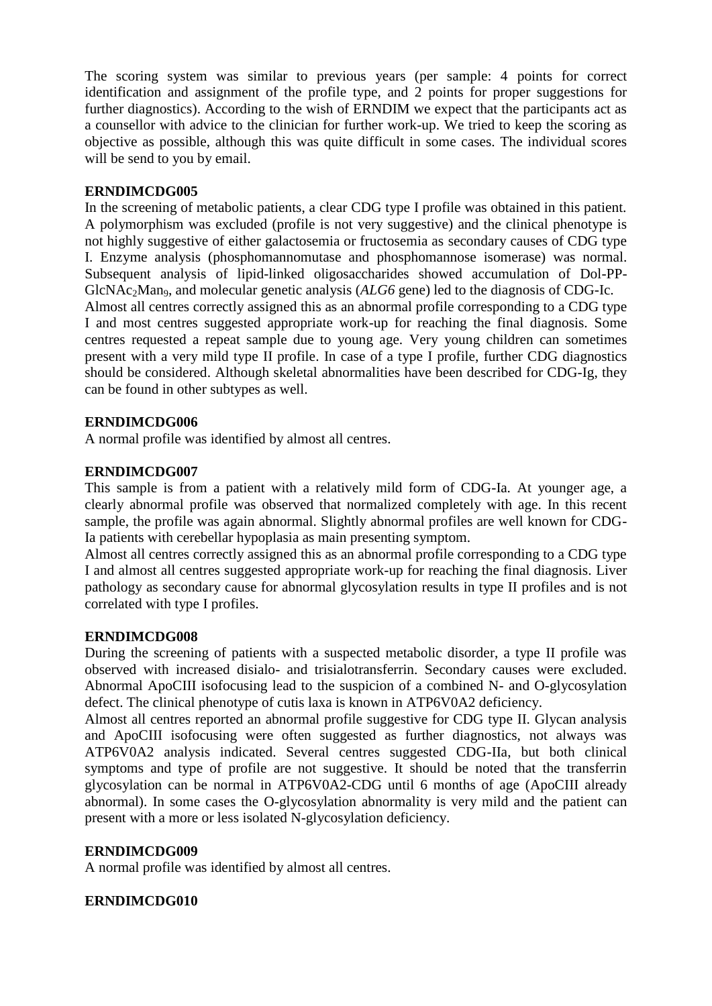The scoring system was similar to previous years (per sample: 4 points for correct identification and assignment of the profile type, and 2 points for proper suggestions for further diagnostics). According to the wish of ERNDIM we expect that the participants act as a counsellor with advice to the clinician for further work-up. We tried to keep the scoring as objective as possible, although this was quite difficult in some cases. The individual scores will be send to you by email.

## **ERNDIMCDG005**

In the screening of metabolic patients, a clear CDG type I profile was obtained in this patient. A polymorphism was excluded (profile is not very suggestive) and the clinical phenotype is not highly suggestive of either galactosemia or fructosemia as secondary causes of CDG type I. Enzyme analysis (phosphomannomutase and phosphomannose isomerase) was normal. Subsequent analysis of lipid-linked oligosaccharides showed accumulation of Dol-PP-GlcNAc<sub>2</sub>Man<sub>9</sub>, and molecular genetic analysis (*ALG6* gene) led to the diagnosis of CDG-Ic. Almost all centres correctly assigned this as an abnormal profile corresponding to a CDG type I and most centres suggested appropriate work-up for reaching the final diagnosis. Some centres requested a repeat sample due to young age. Very young children can sometimes present with a very mild type II profile. In case of a type I profile, further CDG diagnostics should be considered. Although skeletal abnormalities have been described for CDG-Ig, they can be found in other subtypes as well.

## **ERNDIMCDG006**

A normal profile was identified by almost all centres.

## **ERNDIMCDG007**

This sample is from a patient with a relatively mild form of CDG-Ia. At younger age, a clearly abnormal profile was observed that normalized completely with age. In this recent sample, the profile was again abnormal. Slightly abnormal profiles are well known for CDG-Ia patients with cerebellar hypoplasia as main presenting symptom.

Almost all centres correctly assigned this as an abnormal profile corresponding to a CDG type I and almost all centres suggested appropriate work-up for reaching the final diagnosis. Liver pathology as secondary cause for abnormal glycosylation results in type II profiles and is not correlated with type I profiles.

#### **ERNDIMCDG008**

During the screening of patients with a suspected metabolic disorder, a type II profile was observed with increased disialo- and trisialotransferrin. Secondary causes were excluded. Abnormal ApoCIII isofocusing lead to the suspicion of a combined N- and O-glycosylation defect. The clinical phenotype of cutis laxa is known in ATP6V0A2 deficiency.

Almost all centres reported an abnormal profile suggestive for CDG type II. Glycan analysis and ApoCIII isofocusing were often suggested as further diagnostics, not always was ATP6V0A2 analysis indicated. Several centres suggested CDG-IIa, but both clinical symptoms and type of profile are not suggestive. It should be noted that the transferrin glycosylation can be normal in ATP6V0A2-CDG until 6 months of age (ApoCIII already abnormal). In some cases the O-glycosylation abnormality is very mild and the patient can present with a more or less isolated N-glycosylation deficiency.

#### **ERNDIMCDG009**

A normal profile was identified by almost all centres.

#### **ERNDIMCDG010**